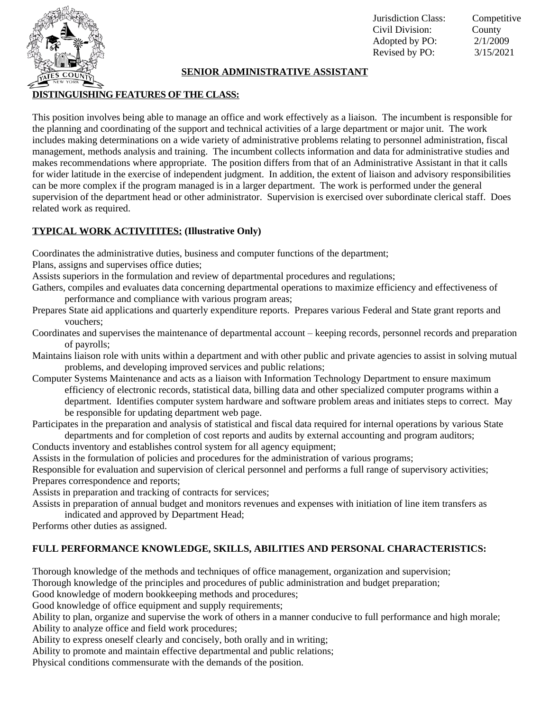

#### Jurisdiction Class: Competitive Civil Division: County Adopted by PO: 2/1/2009 Revised by PO: 3/15/2021

# **SENIOR ADMINISTRATIVE ASSISTANT**

## **DISTINGUISHING FEATURES OF THE CLASS:**

This position involves being able to manage an office and work effectively as a liaison. The incumbent is responsible for the planning and coordinating of the support and technical activities of a large department or major unit. The work includes making determinations on a wide variety of administrative problems relating to personnel administration, fiscal management, methods analysis and training. The incumbent collects information and data for administrative studies and makes recommendations where appropriate. The position differs from that of an Administrative Assistant in that it calls for wider latitude in the exercise of independent judgment. In addition, the extent of liaison and advisory responsibilities can be more complex if the program managed is in a larger department. The work is performed under the general supervision of the department head or other administrator. Supervision is exercised over subordinate clerical staff. Does related work as required.

### **TYPICAL WORK ACTIVITITES: (Illustrative Only)**

Coordinates the administrative duties, business and computer functions of the department;

Plans, assigns and supervises office duties;

Assists superiors in the formulation and review of departmental procedures and regulations;

Gathers, compiles and evaluates data concerning departmental operations to maximize efficiency and effectiveness of performance and compliance with various program areas;

- Prepares State aid applications and quarterly expenditure reports. Prepares various Federal and State grant reports and vouchers;
- Coordinates and supervises the maintenance of departmental account keeping records, personnel records and preparation of payrolls;
- Maintains liaison role with units within a department and with other public and private agencies to assist in solving mutual problems, and developing improved services and public relations;
- Computer Systems Maintenance and acts as a liaison with Information Technology Department to ensure maximum efficiency of electronic records, statistical data, billing data and other specialized computer programs within a department. Identifies computer system hardware and software problem areas and initiates steps to correct. May be responsible for updating department web page.
- Participates in the preparation and analysis of statistical and fiscal data required for internal operations by various State departments and for completion of cost reports and audits by external accounting and program auditors;
- Conducts inventory and establishes control system for all agency equipment;

Assists in the formulation of policies and procedures for the administration of various programs;

Responsible for evaluation and supervision of clerical personnel and performs a full range of supervisory activities; Prepares correspondence and reports;

Assists in preparation and tracking of contracts for services;

Assists in preparation of annual budget and monitors revenues and expenses with initiation of line item transfers as indicated and approved by Department Head;

Performs other duties as assigned.

# **FULL PERFORMANCE KNOWLEDGE, SKILLS, ABILITIES AND PERSONAL CHARACTERISTICS:**

Thorough knowledge of the methods and techniques of office management, organization and supervision;

Thorough knowledge of the principles and procedures of public administration and budget preparation;

Good knowledge of modern bookkeeping methods and procedures;

Good knowledge of office equipment and supply requirements;

Ability to plan, organize and supervise the work of others in a manner conducive to full performance and high morale; Ability to analyze office and field work procedures;

Ability to express oneself clearly and concisely, both orally and in writing;

Ability to promote and maintain effective departmental and public relations;

Physical conditions commensurate with the demands of the position.